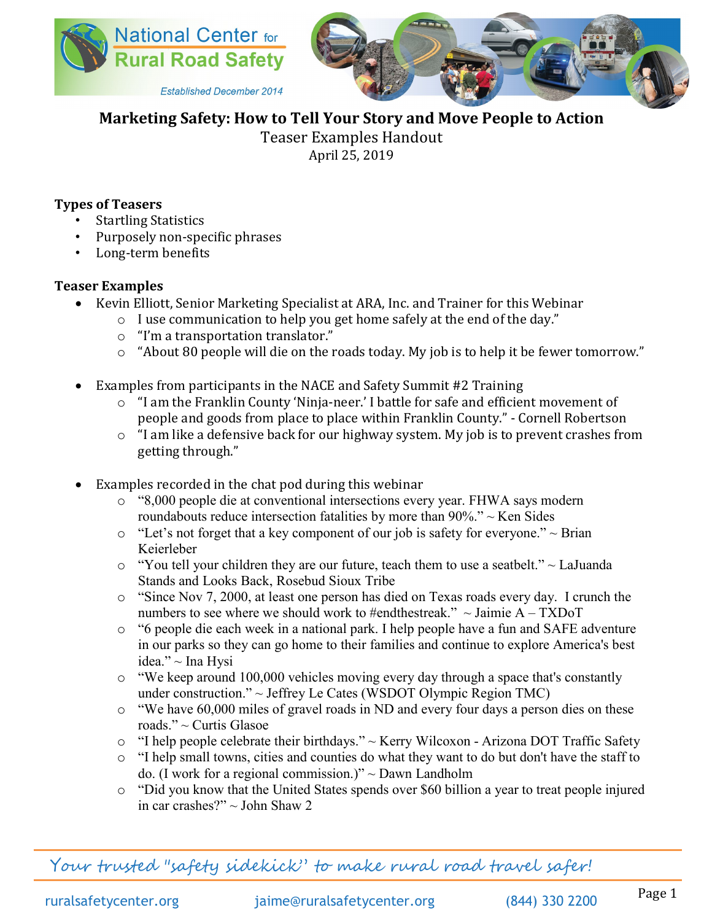



**Marketing Safety: How to Tell Your Story and Move People to Action**

Teaser Examples Handout

April 25, 2019

## **Types of Teasers**

- Startling Statistics
- Purposely non-specific phrases
- Long-term benefits

## **Teaser Examples**

- Kevin Elliott, Senior Marketing Specialist at ARA, Inc. and Trainer for this Webinar
	- o I use communication to help you get home safely at the end of the day."
		- o "I'm a transportation translator."
		- o "About 80 people will die on the roads today. My job is to help it be fewer tomorrow."
- Examples from participants in the NACE and Safety Summit #2 Training
	- o "I am the Franklin County 'Ninja-neer.' I battle for safe and efficient movement of people and goods from place to place within Franklin County." - Cornell Robertson
	- o "I am like a defensive back for our highway system. My job is to prevent crashes from getting through."
- Examples recorded in the chat pod during this webinar
	- o "8,000 people die at conventional intersections every year. FHWA says modern roundabouts reduce intersection fatalities by more than 90%." ~ Ken Sides
	- $\circ$  "Let's not forget that a key component of our job is safety for everyone."  $\sim$  Brian Keierleber
	- $\circ$  "You tell your children they are our future, teach them to use a seatbelt."  $\sim$  LaJuanda Stands and Looks Back, Rosebud Sioux Tribe
	- o "Since Nov 7, 2000, at least one person has died on Texas roads every day. I crunch the numbers to see where we should work to #endthestreak."  $\sim$  Jaimie A – TXDoT
	- o "6 people die each week in a national park. I help people have a fun and SAFE adventure in our parks so they can go home to their families and continue to explore America's best idea." ~ Ina Hysi
	- $\circ$  "We keep around 100,000 vehicles moving every day through a space that's constantly under construction." ~ Jeffrey Le Cates (WSDOT Olympic Region TMC)
	- o "We have 60,000 miles of gravel roads in ND and every four days a person dies on these roads." ~ Curtis Glasoe
	- o "I help people celebrate their birthdays." ~ Kerry Wilcoxon Arizona DOT Traffic Safety
	- o "I help small towns, cities and counties do what they want to do but don't have the staff to do. (I work for a regional commission.)"  $\sim$  Dawn Landholm
	- o "Did you know that the United States spends over \$60 billion a year to treat people injured in car crashes?" ~ John Shaw 2

Your trusted "safety sidekick" to make rural road travel safer!

ruralsafetycenter.org [jaime@ruralsafetycenter.org](mailto:jaime@ruralsafetycenter.org) (844) 330 2200